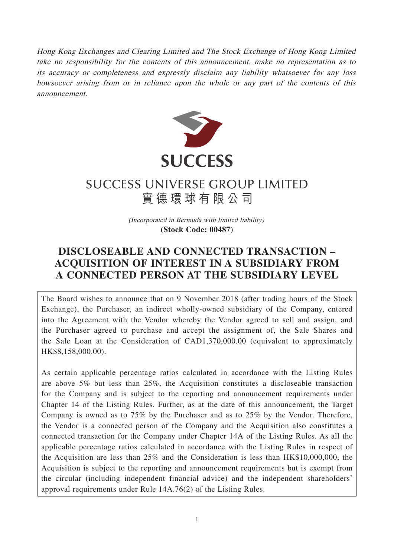Hong Kong Exchanges and Clearing Limited and The Stock Exchange of Hong Kong Limited take no responsibility for the contents of this announcement, make no representation as to its accuracy or completeness and expressly disclaim any liability whatsoever for any loss howsoever arising from or in reliance upon the whole or any part of the contents of this announcement.



# **SUCCESS UNIVERSE GROUP LIMITED** 實德環球有限公司

(Incorporated in Bermuda with limited liability) **(Stock Code: 00487)**

## **DISCLOSEABLE AND CONNECTED TRANSACTION – ACQUISITION OF INTEREST IN A SUBSIDIARY FROM A CONNECTED PERSON AT THE SUBSIDIARY LEVEL**

The Board wishes to announce that on 9 November 2018 (after trading hours of the Stock Exchange), the Purchaser, an indirect wholly-owned subsidiary of the Company, entered into the Agreement with the Vendor whereby the Vendor agreed to sell and assign, and the Purchaser agreed to purchase and accept the assignment of, the Sale Shares and the Sale Loan at the Consideration of CAD1,370,000.00 (equivalent to approximately HK\$8,158,000.00).

As certain applicable percentage ratios calculated in accordance with the Listing Rules are above 5% but less than 25%, the Acquisition constitutes a discloseable transaction for the Company and is subject to the reporting and announcement requirements under Chapter 14 of the Listing Rules. Further, as at the date of this announcement, the Target Company is owned as to 75% by the Purchaser and as to 25% by the Vendor. Therefore, the Vendor is a connected person of the Company and the Acquisition also constitutes a connected transaction for the Company under Chapter 14A of the Listing Rules. As all the applicable percentage ratios calculated in accordance with the Listing Rules in respect of the Acquisition are less than 25% and the Consideration is less than HK\$10,000,000, the Acquisition is subject to the reporting and announcement requirements but is exempt from the circular (including independent financial advice) and the independent shareholders' approval requirements under Rule 14A.76(2) of the Listing Rules.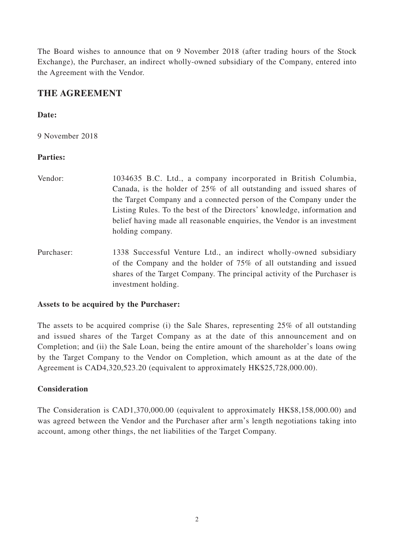The Board wishes to announce that on 9 November 2018 (after trading hours of the Stock Exchange), the Purchaser, an indirect wholly-owned subsidiary of the Company, entered into the Agreement with the Vendor.

### **THE AGREEMENT**

#### **Date:**

9 November 2018

#### **Parties:**

- Vendor: 1034635 B.C. Ltd., a company incorporated in British Columbia, Canada, is the holder of 25% of all outstanding and issued shares of the Target Company and a connected person of the Company under the Listing Rules. To the best of the Directors' knowledge, information and belief having made all reasonable enquiries, the Vendor is an investment holding company.
- Purchaser: 1338 Successful Venture Ltd., an indirect wholly-owned subsidiary of the Company and the holder of 75% of all outstanding and issued shares of the Target Company. The principal activity of the Purchaser is investment holding.

#### **Assets to be acquired by the Purchaser:**

The assets to be acquired comprise (i) the Sale Shares, representing 25% of all outstanding and issued shares of the Target Company as at the date of this announcement and on Completion; and (ii) the Sale Loan, being the entire amount of the shareholder's loans owing by the Target Company to the Vendor on Completion, which amount as at the date of the Agreement is CAD4,320,523.20 (equivalent to approximately HK\$25,728,000.00).

#### **Consideration**

The Consideration is CAD1,370,000.00 (equivalent to approximately HK\$8,158,000.00) and was agreed between the Vendor and the Purchaser after arm's length negotiations taking into account, among other things, the net liabilities of the Target Company.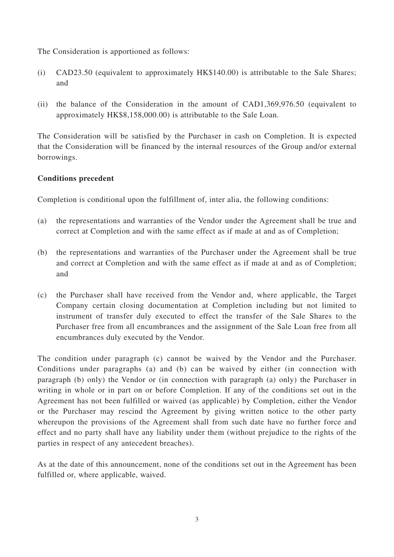The Consideration is apportioned as follows:

- (i) CAD23.50 (equivalent to approximately HK\$140.00) is attributable to the Sale Shares; and
- (ii) the balance of the Consideration in the amount of CAD1,369,976.50 (equivalent to approximately HK\$8,158,000.00) is attributable to the Sale Loan.

The Consideration will be satisfied by the Purchaser in cash on Completion. It is expected that the Consideration will be financed by the internal resources of the Group and/or external borrowings.

#### **Conditions precedent**

Completion is conditional upon the fulfillment of, inter alia, the following conditions:

- (a) the representations and warranties of the Vendor under the Agreement shall be true and correct at Completion and with the same effect as if made at and as of Completion;
- (b) the representations and warranties of the Purchaser under the Agreement shall be true and correct at Completion and with the same effect as if made at and as of Completion; and
- (c) the Purchaser shall have received from the Vendor and, where applicable, the Target Company certain closing documentation at Completion including but not limited to instrument of transfer duly executed to effect the transfer of the Sale Shares to the Purchaser free from all encumbrances and the assignment of the Sale Loan free from all encumbrances duly executed by the Vendor.

The condition under paragraph (c) cannot be waived by the Vendor and the Purchaser. Conditions under paragraphs (a) and (b) can be waived by either (in connection with paragraph (b) only) the Vendor or (in connection with paragraph (a) only) the Purchaser in writing in whole or in part on or before Completion. If any of the conditions set out in the Agreement has not been fulfilled or waived (as applicable) by Completion, either the Vendor or the Purchaser may rescind the Agreement by giving written notice to the other party whereupon the provisions of the Agreement shall from such date have no further force and effect and no party shall have any liability under them (without prejudice to the rights of the parties in respect of any antecedent breaches).

As at the date of this announcement, none of the conditions set out in the Agreement has been fulfilled or, where applicable, waived.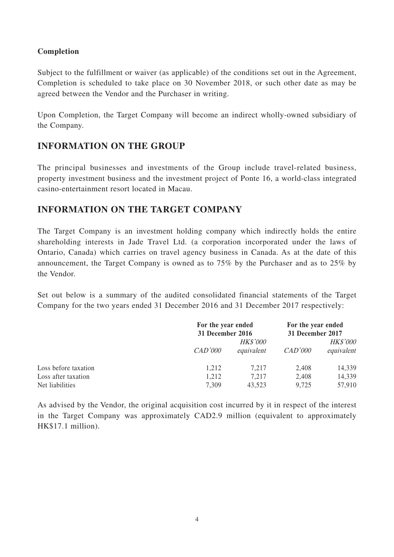#### **Completion**

Subject to the fulfillment or waiver (as applicable) of the conditions set out in the Agreement, Completion is scheduled to take place on 30 November 2018, or such other date as may be agreed between the Vendor and the Purchaser in writing.

Upon Completion, the Target Company will become an indirect wholly-owned subsidiary of the Company.

## **INFORMATION ON THE GROUP**

The principal businesses and investments of the Group include travel-related business, property investment business and the investment project of Ponte 16, a world-class integrated casino-entertainment resort located in Macau.

## **INFORMATION ON THE TARGET COMPANY**

The Target Company is an investment holding company which indirectly holds the entire shareholding interests in Jade Travel Ltd. (a corporation incorporated under the laws of Ontario, Canada) which carries on travel agency business in Canada. As at the date of this announcement, the Target Company is owned as to 75% by the Purchaser and as to 25% by the Vendor.

Set out below is a summary of the audited consolidated financial statements of the Target Company for the two years ended 31 December 2016 and 31 December 2017 respectively:

|                      | For the year ended<br>31 December 2016 |                 | For the year ended<br>31 December 2017 |                 |
|----------------------|----------------------------------------|-----------------|----------------------------------------|-----------------|
|                      |                                        | <b>HK\$'000</b> |                                        | <i>HK\$'000</i> |
|                      | CAD'000                                | equivalent      | CAD'000                                | equivalent      |
| Loss before taxation | 1,212                                  | 7.217           | 2,408                                  | 14,339          |
| Loss after taxation  | 1,212                                  | 7,217           | 2,408                                  | 14,339          |
| Net liabilities      | 7,309                                  | 43,523          | 9,725                                  | 57,910          |

As advised by the Vendor, the original acquisition cost incurred by it in respect of the interest in the Target Company was approximately CAD2.9 million (equivalent to approximately HK\$17.1 million).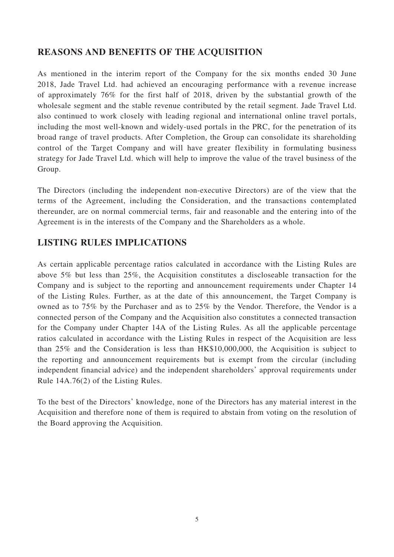## **REASONS AND BENEFITS OF THE ACQUISITION**

As mentioned in the interim report of the Company for the six months ended 30 June 2018, Jade Travel Ltd. had achieved an encouraging performance with a revenue increase of approximately 76% for the first half of 2018, driven by the substantial growth of the wholesale segment and the stable revenue contributed by the retail segment. Jade Travel Ltd. also continued to work closely with leading regional and international online travel portals, including the most well-known and widely-used portals in the PRC, for the penetration of its broad range of travel products. After Completion, the Group can consolidate its shareholding control of the Target Company and will have greater flexibility in formulating business strategy for Jade Travel Ltd. which will help to improve the value of the travel business of the Group.

The Directors (including the independent non-executive Directors) are of the view that the terms of the Agreement, including the Consideration, and the transactions contemplated thereunder, are on normal commercial terms, fair and reasonable and the entering into of the Agreement is in the interests of the Company and the Shareholders as a whole.

## **LISTING RULES IMPLICATIONS**

As certain applicable percentage ratios calculated in accordance with the Listing Rules are above 5% but less than 25%, the Acquisition constitutes a discloseable transaction for the Company and is subject to the reporting and announcement requirements under Chapter 14 of the Listing Rules. Further, as at the date of this announcement, the Target Company is owned as to 75% by the Purchaser and as to 25% by the Vendor. Therefore, the Vendor is a connected person of the Company and the Acquisition also constitutes a connected transaction for the Company under Chapter 14A of the Listing Rules. As all the applicable percentage ratios calculated in accordance with the Listing Rules in respect of the Acquisition are less than 25% and the Consideration is less than HK\$10,000,000, the Acquisition is subject to the reporting and announcement requirements but is exempt from the circular (including independent financial advice) and the independent shareholders' approval requirements under Rule 14A.76(2) of the Listing Rules.

To the best of the Directors' knowledge, none of the Directors has any material interest in the Acquisition and therefore none of them is required to abstain from voting on the resolution of the Board approving the Acquisition.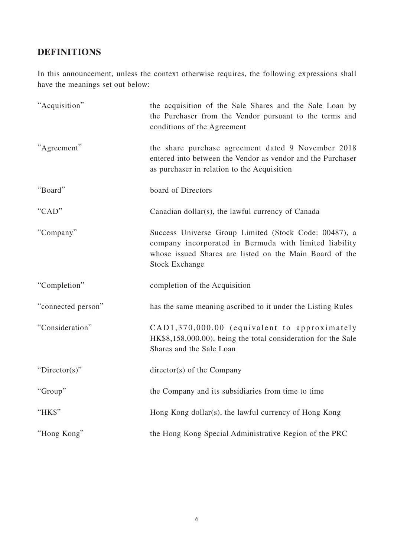## **DEFINITIONS**

In this announcement, unless the context otherwise requires, the following expressions shall have the meanings set out below:

| "Acquisition"      | the acquisition of the Sale Shares and the Sale Loan by<br>the Purchaser from the Vendor pursuant to the terms and<br>conditions of the Agreement                                                   |
|--------------------|-----------------------------------------------------------------------------------------------------------------------------------------------------------------------------------------------------|
| "Agreement"        | the share purchase agreement dated 9 November 2018<br>entered into between the Vendor as vendor and the Purchaser<br>as purchaser in relation to the Acquisition                                    |
| "Board"            | board of Directors                                                                                                                                                                                  |
| "CAD"              | Canadian dollar(s), the lawful currency of Canada                                                                                                                                                   |
| "Company"          | Success Universe Group Limited (Stock Code: 00487), a<br>company incorporated in Bermuda with limited liability<br>whose issued Shares are listed on the Main Board of the<br><b>Stock Exchange</b> |
| "Completion"       | completion of the Acquisition                                                                                                                                                                       |
| "connected person" | has the same meaning ascribed to it under the Listing Rules                                                                                                                                         |
| "Consideration"    | CAD1,370,000.00 (equivalent to approximately<br>HK\$8,158,000.00), being the total consideration for the Sale<br>Shares and the Sale Loan                                                           |
| " $Directory$ "    | director(s) of the Company                                                                                                                                                                          |
| "Group"            | the Company and its subsidiaries from time to time                                                                                                                                                  |
| "HK\$"             | Hong Kong dollar(s), the lawful currency of Hong Kong                                                                                                                                               |
| "Hong Kong"        | the Hong Kong Special Administrative Region of the PRC                                                                                                                                              |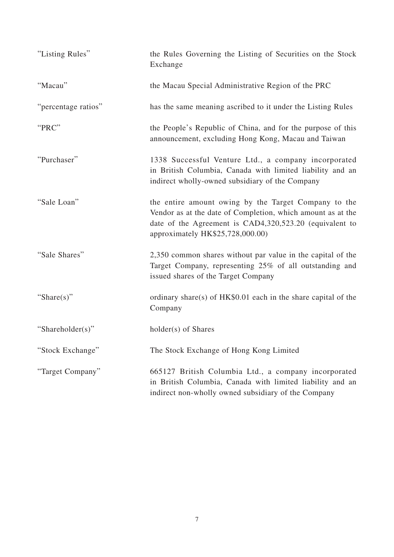| "Listing Rules"     | the Rules Governing the Listing of Securities on the Stock<br>Exchange                                                                                                                                             |
|---------------------|--------------------------------------------------------------------------------------------------------------------------------------------------------------------------------------------------------------------|
| "Macau"             | the Macau Special Administrative Region of the PRC                                                                                                                                                                 |
| "percentage ratios" | has the same meaning ascribed to it under the Listing Rules                                                                                                                                                        |
| "PRC"               | the People's Republic of China, and for the purpose of this<br>announcement, excluding Hong Kong, Macau and Taiwan                                                                                                 |
| "Purchaser"         | 1338 Successful Venture Ltd., a company incorporated<br>in British Columbia, Canada with limited liability and an<br>indirect wholly-owned subsidiary of the Company                                               |
| "Sale Loan"         | the entire amount owing by the Target Company to the<br>Vendor as at the date of Completion, which amount as at the<br>date of the Agreement is CAD4,320,523.20 (equivalent to<br>approximately HK\$25,728,000.00) |
| "Sale Shares"       | 2,350 common shares without par value in the capital of the<br>Target Company, representing 25% of all outstanding and<br>issued shares of the Target Company                                                      |
| "Share $(s)$ "      | ordinary share(s) of $HK$0.01$ each in the share capital of the<br>Company                                                                                                                                         |
| "Shareholder(s)"    | holder(s) of Shares                                                                                                                                                                                                |
| "Stock Exchange"    | The Stock Exchange of Hong Kong Limited                                                                                                                                                                            |
| "Target Company"    | 665127 British Columbia Ltd., a company incorporated<br>in British Columbia, Canada with limited liability and an<br>indirect non-wholly owned subsidiary of the Company                                           |